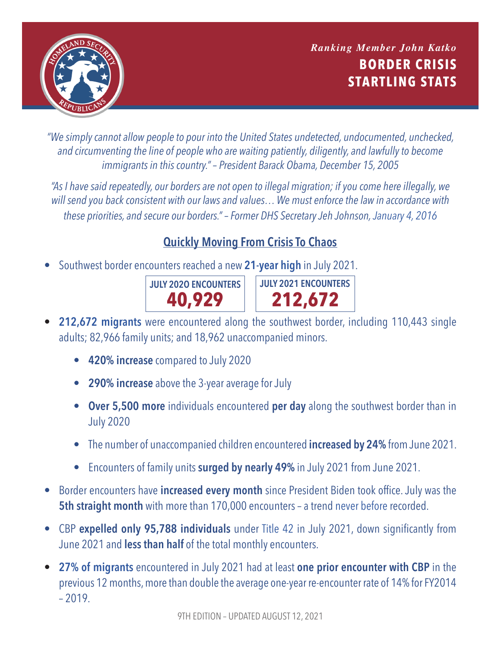

**BORDER CRISIS STARTLING STATS** *Ranking Member John Katko*

*"We simply cannot allow people to pour into the United States undetected, undocumented, unchecked, and circumventing the line of people who are waiting patiently, diligently, and lawfully to become immigrants in this country." – President Barack Obama, December 15, 2005*

*"As I have said repeatedly, our borders are not open to illegal migration; if you come here illegally, we will send you back consistent with our laws and values… We must enforce the law in accordance with these priorities, and secure our borders." – Former DHS Secretary Jeh Johnson, [January 4, 2016](https://www.dhs.gov/news/2016/01/04/statement-secretary-jeh-c-johnson-southwest-border-security)*

## **Quickly Moving From Crisis To Chaos**

• Southwest border encounters reached a new **[21-year high](https://www.cbp.gov/sites/default/files/assets/documents/2020-Jan/U.S. Border Patrol Monthly Apprehensions %28FY 2000 - FY 2019%29_1.pdf)** in July 2021.



- **• [212,672 migrants](https://www.cbp.gov/newsroom/stats/southwest-land-border-encounters)** were encountered along the southwest border, including 110,443 single adults; 82,966 family units; and 18,962 unaccompanied minors.
	- **• 420% increase** compared to July 2020
	- **• 290% increase** above the 3-year average for July
	- **• Over 5,500 more** individuals encountered **per day** along the southwest border than in July 2020
	- The number of unaccompanied children encountered **increased by 24%** from June 2021.
	- Encounters of family units **surged by nearly 49%** in July 2021 from June 2021.
- Border encounters have **increased every month** since President Biden took office. July was the **5th straight month** with more than 170,000 encounters – a trend [never before](https://www.cbp.gov/sites/default/files/assets/documents/2020-Jan/U.S. Border Patrol Monthly Apprehensions %28FY 2000 - FY 2019%29_1.pdf) recorded.
- CBP **expelled only 95,788 individuals** under [Title 42](https://www.cbp.gov/newsroom/national-media-release/cbp-announces-may-2021-operational-update) in July 2021, down significantly from June 2021 and **less than half** of the total monthly encounters.
- **• [27% of migrants](https://www.cbp.gov/newsroom/national-media-release/cbp-releases-july-2021-operational-update)** encountered in July 2021 had at least **one prior encounter with CBP** in the previous 12 months, more than double the average one-year re-encounter rate of 14% for FY2014  $-2019.$